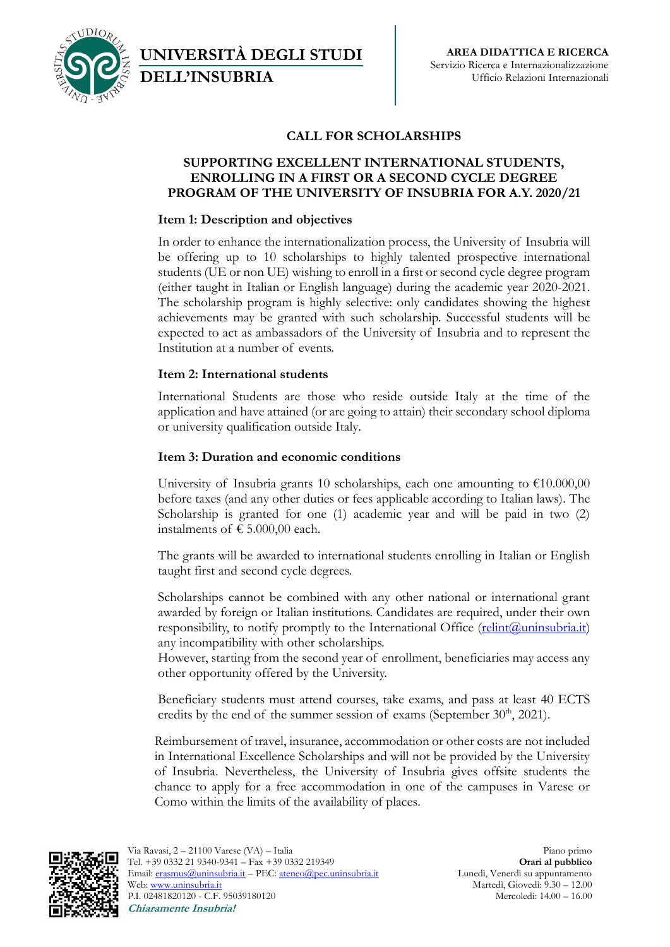

**UNIVERSITÀ DEGLI STUDI DELL'INSUBRIA**

# **CALL FOR SCHOLARSHIPS**

### **SUPPORTING EXCELLENT INTERNATIONAL STUDENTS, ENROLLING IN A FIRST OR A SECOND CYCLE DEGREE PROGRAM OF THE UNIVERSITY OF INSUBRIA FOR A.Y. 2020/21**

### **Item 1: Description and objectives**

In order to enhance the internationalization process, the University of Insubria will be offering up to 10 scholarships to highly talented prospective international students (UE or non UE) wishing to enroll in a first or second cycle degree program (either taught in Italian or English language) during the academic year 2020-2021. The scholarship program is highly selective: only candidates showing the highest achievements may be granted with such scholarship. Successful students will be expected to act as ambassadors of the University of Insubria and to represent the Institution at a number of events.

## **Item 2: International students**

International Students are those who reside outside Italy at the time of the application and have attained (or are going to attain) their secondary school diploma or university qualification outside Italy.

## **Item 3: Duration and economic conditions**

University of Insubria grants 10 scholarships, each one amounting to  $€10.000,00$ before taxes (and any other duties or fees applicable according to Italian laws). The Scholarship is granted for one (1) academic year and will be paid in two (2) instalments of  $\epsilon$  5.000,00 each.

The grants will be awarded to international students enrolling in Italian or English taught first and second cycle degrees.

Scholarships cannot be combined with any other national or international grant awarded by foreign or Italian institutions. Candidates are required, under their own responsibility, to notify promptly to the International Office  $(\text{relint}(\mathcal{Q})$ uninsubria.it) any incompatibility with other scholarships.

However, starting from the second year of enrollment, beneficiaries may access any other opportunity offered by the University.

Beneficiary students must attend courses, take exams, and pass at least 40 ECTS credits by the end of the summer session of exams (September  $30<sup>th</sup>$ , 2021).

Reimbursement of travel, insurance, accommodation or other costs are not included in International Excellence Scholarships and will not be provided by the University of Insubria. Nevertheless, the University of Insubria gives offsite students the chance to apply for a free accommodation in one of the campuses in Varese or Como within the limits of the availability of places.

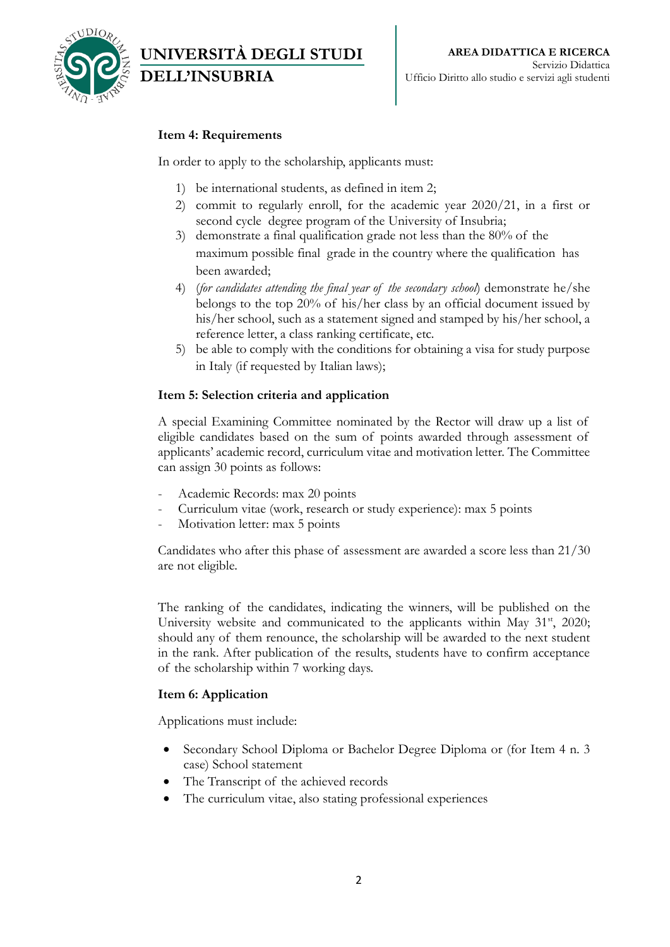

# **Item 4: Requirements**

**DELL'INSUBRIA**

**UNIVERSITÀ DEGLI STUDI** 

In order to apply to the scholarship, applicants must:

- 1) be international students, as defined in item 2;
- 2) commit to regularly enroll, for the academic year 2020/21, in a first or second cycle degree program of the University of Insubria;
- 3) demonstrate a final qualification grade not less than the 80% of the maximum possible final grade in the country where the qualification has been awarded;
- 4) (*for candidates attending the final year of the secondary school*) demonstrate he/she belongs to the top 20% of his/her class by an official document issued by his/her school, such as a statement signed and stamped by his/her school, a reference letter, a class ranking certificate, etc.
- 5) be able to comply with the conditions for obtaining a visa for study purpose in Italy (if requested by Italian laws);

#### **Item 5: Selection criteria and application**

A special Examining Committee nominated by the Rector will draw up a list of eligible candidates based on the sum of points awarded through assessment of applicants' academic record, curriculum vitae and motivation letter. The Committee can assign 30 points as follows:

- Academic Records: max 20 points
- Curriculum vitae (work, research or study experience): max 5 points
- Motivation letter: max 5 points

Candidates who after this phase of assessment are awarded a score less than 21/30 are not eligible.

The ranking of the candidates, indicating the winners, will be published on the University website and communicated to the applicants within May  $31<sup>st</sup>$ , 2020; should any of them renounce, the scholarship will be awarded to the next student in the rank. After publication of the results, students have to confirm acceptance of the scholarship within 7 working days.

#### **Item 6: Application**

Applications must include:

- Secondary School Diploma or Bachelor Degree Diploma or (for Item 4 n. 3 case) School statement
- The Transcript of the achieved records
- The curriculum vitae, also stating professional experiences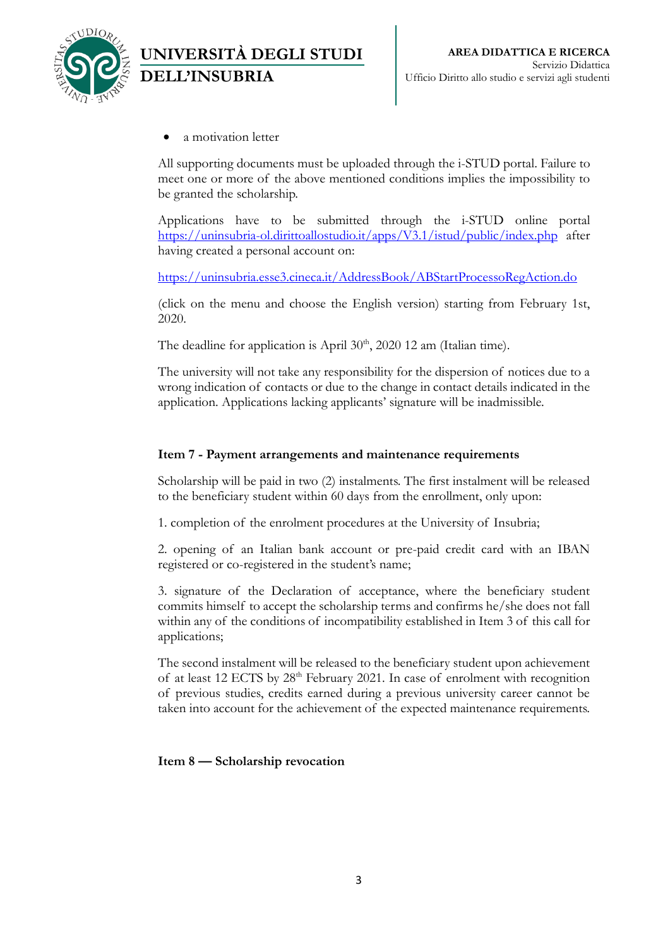

a motivation letter

**DELL'INSUBRIA**

**UNIVERSITÀ DEGLI STUDI** 

All supporting documents must be uploaded through the i-STUD portal. Failure to meet one or more of the above mentioned conditions implies the impossibility to be granted the scholarship.

Applications have to be submitted through the i-STUD online portal <https://uninsubria-ol.dirittoallostudio.it/apps/V3.1/istud/public/index.php> after having created a personal account on:

<https://uninsubria.esse3.cineca.it/AddressBook/ABStartProcessoRegAction.do>

(click on the menu and choose the English version) starting from February 1st, 2020.

The deadline for application is April  $30<sup>th</sup>$ , 2020 12 am (Italian time).

The university will not take any responsibility for the dispersion of notices due to a wrong indication of contacts or due to the change in contact details indicated in the application. Applications lacking applicants' signature will be inadmissible.

## **Item 7 - Payment arrangements and maintenance requirements**

Scholarship will be paid in two (2) instalments. The first instalment will be released to the beneficiary student within 60 days from the enrollment, only upon:

1. completion of the enrolment procedures at the University of Insubria;

2. opening of an Italian bank account or pre-paid credit card with an IBAN registered or co-registered in the student's name;

3. signature of the Declaration of acceptance, where the beneficiary student commits himself to accept the scholarship terms and confirms he/she does not fall within any of the conditions of incompatibility established in Item 3 of this call for applications;

The second instalment will be released to the beneficiary student upon achievement of at least 12 ECTS by 28<sup>th</sup> February 2021. In case of enrolment with recognition of previous studies, credits earned during a previous university career cannot be taken into account for the achievement of the expected maintenance requirements.

**Item 8 — Scholarship revocation**